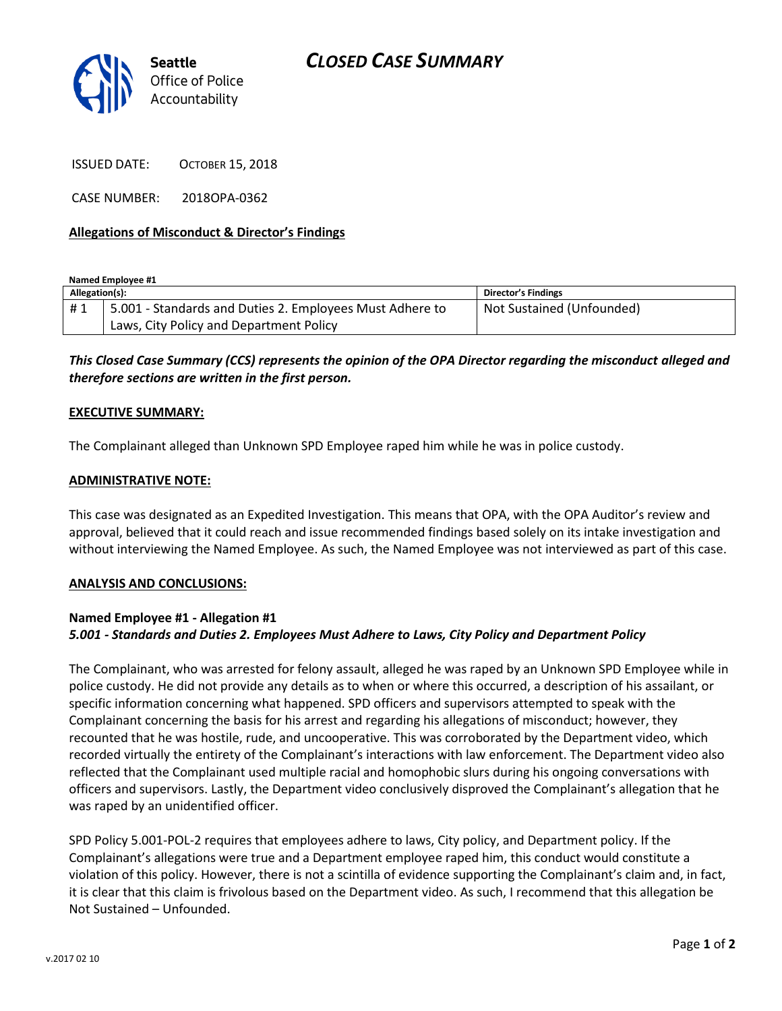



ISSUED DATE: OCTOBER 15, 2018

CASE NUMBER: 2018OPA-0362

# **Allegations of Misconduct & Director's Findings**

**Named Employee #1**

| Allegation(s): |                                                          | Director's Findings       |
|----------------|----------------------------------------------------------|---------------------------|
| #1             | 5.001 - Standards and Duties 2. Employees Must Adhere to | Not Sustained (Unfounded) |
|                | Laws, City Policy and Department Policy                  |                           |

*This Closed Case Summary (CCS) represents the opinion of the OPA Director regarding the misconduct alleged and therefore sections are written in the first person.* 

## **EXECUTIVE SUMMARY:**

The Complainant alleged than Unknown SPD Employee raped him while he was in police custody.

## **ADMINISTRATIVE NOTE:**

This case was designated as an Expedited Investigation. This means that OPA, with the OPA Auditor's review and approval, believed that it could reach and issue recommended findings based solely on its intake investigation and without interviewing the Named Employee. As such, the Named Employee was not interviewed as part of this case.

#### **ANALYSIS AND CONCLUSIONS:**

# **Named Employee #1 - Allegation #1** *5.001 - Standards and Duties 2. Employees Must Adhere to Laws, City Policy and Department Policy*

The Complainant, who was arrested for felony assault, alleged he was raped by an Unknown SPD Employee while in police custody. He did not provide any details as to when or where this occurred, a description of his assailant, or specific information concerning what happened. SPD officers and supervisors attempted to speak with the Complainant concerning the basis for his arrest and regarding his allegations of misconduct; however, they recounted that he was hostile, rude, and uncooperative. This was corroborated by the Department video, which recorded virtually the entirety of the Complainant's interactions with law enforcement. The Department video also reflected that the Complainant used multiple racial and homophobic slurs during his ongoing conversations with officers and supervisors. Lastly, the Department video conclusively disproved the Complainant's allegation that he was raped by an unidentified officer.

SPD Policy 5.001-POL-2 requires that employees adhere to laws, City policy, and Department policy. If the Complainant's allegations were true and a Department employee raped him, this conduct would constitute a violation of this policy. However, there is not a scintilla of evidence supporting the Complainant's claim and, in fact, it is clear that this claim is frivolous based on the Department video. As such, I recommend that this allegation be Not Sustained – Unfounded.